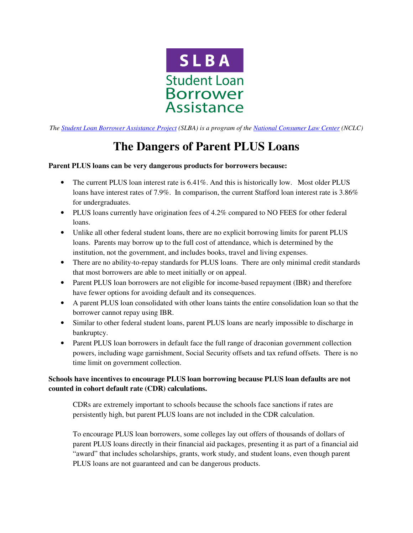

*The Student Loan Borrower Assistance Project (SLBA) is a program of the National Consumer Law Center (NCLC)* 

# **The Dangers of Parent PLUS Loans**

## **Parent PLUS loans can be very dangerous products for borrowers because:**

- The current PLUS loan interest rate is 6.41%. And this is historically low. Most older PLUS loans have interest rates of 7.9%. In comparison, the current Stafford loan interest rate is 3.86% for undergraduates.
- PLUS loans currently have origination fees of 4.2% compared to NO FEES for other federal loans.
- Unlike all other federal student loans, there are no explicit borrowing limits for parent PLUS loans. Parents may borrow up to the full cost of attendance, which is determined by the institution, not the government, and includes books, travel and living expenses.
- There are no ability-to-repay standards for PLUS loans. There are only minimal credit standards that most borrowers are able to meet initially or on appeal.
- Parent PLUS loan borrowers are not eligible for income-based repayment (IBR) and therefore have fewer options for avoiding default and its consequences.
- A parent PLUS loan consolidated with other loans taints the entire consolidation loan so that the borrower cannot repay using IBR.
- Similar to other federal student loans, parent PLUS loans are nearly impossible to discharge in bankruptcy.
- Parent PLUS loan borrowers in default face the full range of draconian government collection powers, including wage garnishment, Social Security offsets and tax refund offsets. There is no time limit on government collection.

## **Schools have incentives to encourage PLUS loan borrowing because PLUS loan defaults are not counted in cohort default rate (CDR) calculations.**

CDRs are extremely important to schools because the schools face sanctions if rates are persistently high, but parent PLUS loans are not included in the CDR calculation.

To encourage PLUS loan borrowers, some colleges lay out offers of thousands of dollars of parent PLUS loans directly in their financial aid packages, presenting it as part of a financial aid "award" that includes scholarships, grants, work study, and student loans, even though parent PLUS loans are not guaranteed and can be dangerous products.